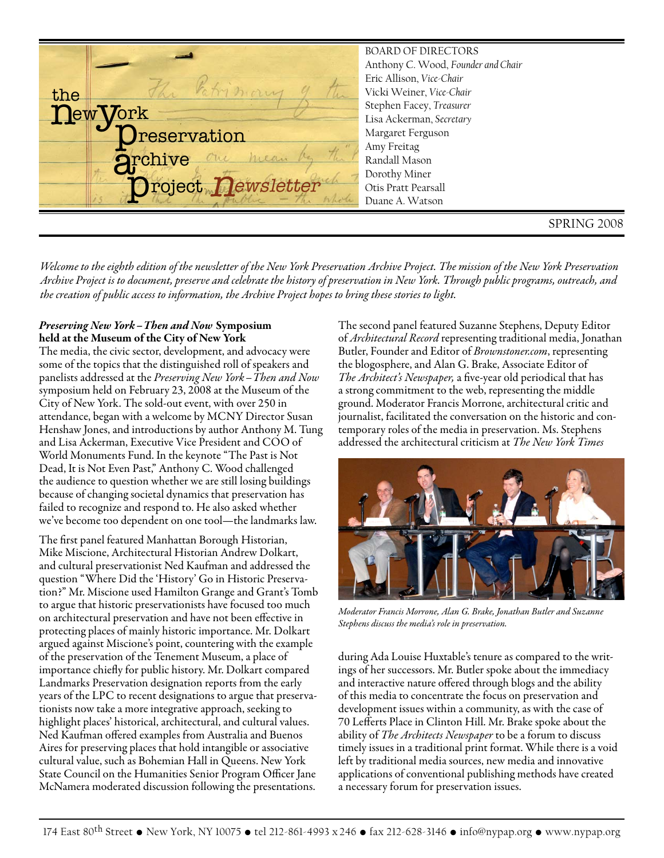SPRING 2008 BOARD OF DIRECTORS Anthony C. Wood, *Founder and Chair* Eric Allison, *Vice-Chair* Vicki Weiner, *Vice-Chair* Stephen Facey, *Treasurer* Lisa Ackerman, *Secretary* Margaret Ferguson Amy Freitag Randall Mason Dorothy Miner Otis Pratt Pearsall Duane A. Watson new york the reservation rchive Project Dewsletter a<sub>s</sub>  $\overset{\text{\tiny{ul}}}{\mathbf{p}}$ 

*Welcome to the eighth edition of the newsletter of the New York Preservation Archive Project. The mission of the New York Preservation Archive Project is to document, preserve and celebrate the history of preservation in New York. Through public programs, outreach, and the creation of public access to information, the Archive Project hopes to bring these stories to light.*

# *Preserving New York –Then and Now* **Symposium held at the Museum of the City of New York**

The media, the civic sector, development, and advocacy were some of the topics that the distinguished roll of speakers and panelists addressed at the *Preserving New York–Then and Now* symposium held on February 23, 2008 at the Museum of the City of New York. The sold-out event, with over 250 in attendance, began with a welcome by MCNY Director Susan Henshaw Jones, and introductions by author Anthony M. Tung and Lisa Ackerman, Executive Vice President and COO of World Monuments Fund. In the keynote "The Past is Not Dead, It is Not Even Past," Anthony C. Wood challenged the audience to question whether we are still losing buildings because of changing societal dynamics that preservation has failed to recognize and respond to. He also asked whether we've become too dependent on one tool—the landmarks law.

The first panel featured Manhattan Borough Historian, Mike Miscione, Architectural Historian Andrew Dolkart, and cultural preservationist Ned Kaufman and addressed the question "Where Did the 'History' Go in Historic Preservation?" Mr. Miscione used Hamilton Grange and Grant's Tomb to argue that historic preservationists have focused too much on architectural preservation and have not been effective in protecting places of mainly historic importance. Mr. Dolkart argued against Miscione's point, countering with the example of the preservation of the Tenement Museum, a place of importance chiefly for public history. Mr. Dolkart compared Landmarks Preservation designation reports from the early years of the LPC to recent designations to argue that preservationists now take a more integrative approach, seeking to highlight places' historical, architectural, and cultural values. Ned Kaufman offered examples from Australia and Buenos Aires for preserving places that hold intangible or associative cultural value, such as Bohemian Hall in Queens. New York State Council on the Humanities Senior Program Officer Jane McNamera moderated discussion following the presentations.

The second panel featured Suzanne Stephens, Deputy Editor of *Architectural Record* representing traditional media, Jonathan Butler, Founder and Editor of *Brownstoner.com*, representing the blogosphere, and Alan G. Brake, Associate Editor of *The Architect's Newspaper,* a five-year old periodical that has a strong commitment to the web, representing the middle ground. Moderator Francis Morrone, architectural critic and journalist, facilitated the conversation on the historic and contemporary roles of the media in preservation. Ms. Stephens addressed the architectural criticism at *The New York Times*



*Moderator Francis Morrone, Alan G. Brake, Jonathan Butler and Suzanne Stephens discuss the media's role in preservation.*

during Ada Louise Huxtable's tenure as compared to the writings of her successors. Mr. Butler spoke about the immediacy and interactive nature offered through blogs and the ability of this media to concentrate the focus on preservation and development issues within a community, as with the case of 70 Lefferts Place in Clinton Hill. Mr. Brake spoke about the ability of *The Architects Newspaper* to be a forum to discuss timely issues in a traditional print format. While there is a void left by traditional media sources, new media and innovative applications of conventional publishing methods have created a necessary forum for preservation issues.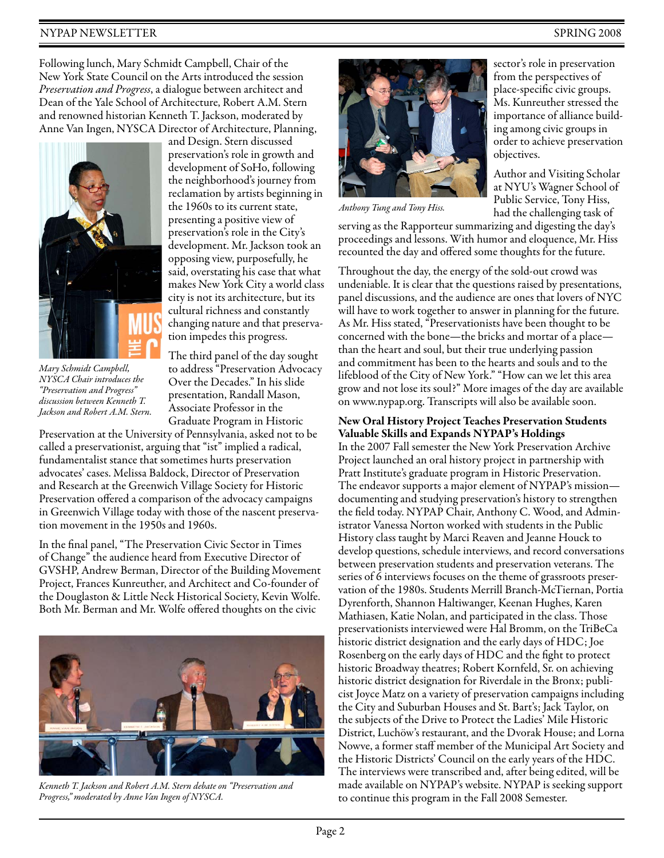# NYPAP NEWSLETTER SPRING 2008

Following lunch, Mary Schmidt Campbell, Chair of the New York State Council on the Arts introduced the session *Preservation and Progress*, a dialogue between architect and Dean of the Yale School of Architecture, Robert A.M. Stern and renowned historian Kenneth T. Jackson, moderated by Anne Van Ingen, NYSCA Director of Architecture, Planning,



*Mary Schmidt Campbell, NYSCA Chair introduces the "Preservation and Progress" discussion between Kenneth T. Jackson and Robert A.M. Stern.*

and Design. Stern discussed preservation's role in growth and development of SoHo, following the neighborhood's journey from reclamation by artists beginning in the 1960s to its current state, presenting a positive view of preservation's role in the City's development. Mr. Jackson took an opposing view, purposefully, he said, overstating his case that what makes New York City a world class city is not its architecture, but its cultural richness and constantly changing nature and that preservation impedes this progress.

The third panel of the day sought to address "Preservation Advocacy Over the Decades." In his slide presentation, Randall Mason, Associate Professor in the Graduate Program in Historic

Preservation at the University of Pennsylvania, asked not to be called a preservationist, arguing that "ist" implied a radical, fundamentalist stance that sometimes hurts preservation advocates' cases. Melissa Baldock, Director of Preservation and Research at the Greenwich Village Society for Historic Preservation offered a comparison of the advocacy campaigns in Greenwich Village today with those of the nascent preservation movement in the 1950s and 1960s.

In the final panel, "The Preservation Civic Sector in Times of Change" the audience heard from Executive Director of GVSHP, Andrew Berman, Director of the Building Movement Project, Frances Kunreuther, and Architect and Co-founder of the Douglaston & Little Neck Historical Society, Kevin Wolfe. Both Mr. Berman and Mr. Wolfe offered thoughts on the civic



*Kenneth T. Jackson and Robert A.M. Stern debate on "Preservation and Progress," moderated by Anne Van Ingen of NYSCA.*



*Anthony Tung and Tony Hiss.*

sector's role in preservation from the perspectives of place-specific civic groups. Ms. Kunreuther stressed the importance of alliance building among civic groups in order to achieve preservation objectives.

Author and Visiting Scholar at NYU's Wagner School of Public Service, Tony Hiss, had the challenging task of

serving as the Rapporteur summarizing and digesting the day's proceedings and lessons. With humor and eloquence, Mr. Hiss recounted the day and offered some thoughts for the future.

Throughout the day, the energy of the sold-out crowd was undeniable. It is clear that the questions raised by presentations, panel discussions, and the audience are ones that lovers of NYC will have to work together to answer in planning for the future. As Mr. Hiss stated, "Preservationists have been thought to be concerned with the bone—the bricks and mortar of a place than the heart and soul, but their true underlying passion and commitment has been to the hearts and souls and to the lifeblood of the City of New York." "How can we let this area grow and not lose its soul?" More images of the day are available on www.nypap.org. Transcripts will also be available soon.

## **New Oral History Project Teaches Preservation Students Valuable Skills and Expands NYPAP's Holdings**

In the 2007 Fall semester the New York Preservation Archive Project launched an oral history project in partnership with Pratt Institute's graduate program in Historic Preservation. The endeavor supports a major element of NYPAP's mission documenting and studying preservation's history to strengthen the field today. NYPAP Chair, Anthony C. Wood, and Administrator Vanessa Norton worked with students in the Public History class taught by Marci Reaven and Jeanne Houck to develop questions, schedule interviews, and record conversations between preservation students and preservation veterans. The series of 6 interviews focuses on the theme of grassroots preservation of the 1980s. Students Merrill Branch-McTiernan, Portia Dyrenforth, Shannon Haltiwanger, Keenan Hughes, Karen Mathiasen, Katie Nolan, and participated in the class. Those preservationists interviewed were Hal Bromm, on the TriBeCa historic district designation and the early days of HDC; Joe Rosenberg on the early days of HDC and the fight to protect historic Broadway theatres; Robert Kornfeld, Sr. on achieving historic district designation for Riverdale in the Bronx; publicist Joyce Matz on a variety of preservation campaigns including the City and Suburban Houses and St. Bart's; Jack Taylor, on the subjects of the Drive to Protect the Ladies' Mile Historic District, Luchöw's restaurant, and the Dvorak House; and Lorna Nowve, a former staff member of the Municipal Art Society and the Historic Districts' Council on the early years of the HDC. The interviews were transcribed and, after being edited, will be made available on NYPAP's website. NYPAP is seeking support to continue this program in the Fall 2008 Semester.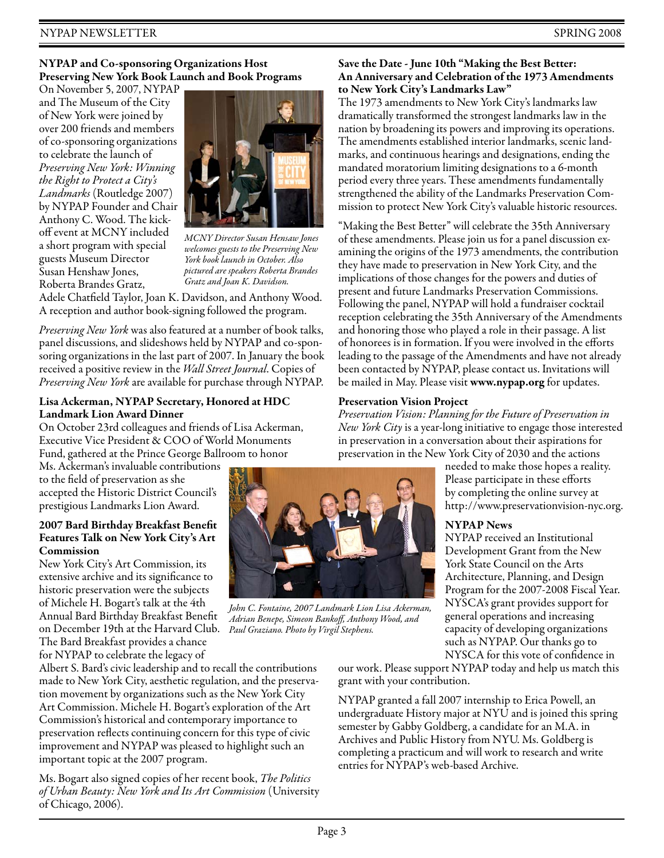# **NYPAP and Co-sponsoring Organizations Host Preserving New York Book Launch and Book Programs**

On November 5, 2007, NYPAP and The Museum of the City of New York were joined by over 200 friends and members of co-sponsoring organizations to celebrate the launch of *Preserving New York: Winning the Right to Protect a City's Landmarks* (Routledge 2007) by NYPAP Founder and Chair Anthony C. Wood. The kickoff event at MCNY included a short program with special guests Museum Director Susan Henshaw Jones, Roberta Brandes Gratz,



*MCNY Director Susan Hensaw Jones welcomes guests to the Preserving New York book launch in October. Also pictured are speakers Roberta Brandes Gratz and Joan K. Davidson.*

Adele Chatfield Taylor, Joan K. Davidson, and Anthony Wood. A reception and author book-signing followed the program.

*Preserving New York* was also featured at a number of book talks, panel discussions, and slideshows held by NYPAP and co-sponsoring organizations in the last part of 2007. In January the book received a positive review in the *Wall Street Journal*. Copies of *Preserving New York* are available for purchase through NYPAP.

## **Lisa Ackerman, NYPAP Secretary, Honored at HDC Landmark Lion Award Dinner**

On October 23rd colleagues and friends of Lisa Ackerman, Executive Vice President & COO of World Monuments Fund, gathered at the Prince George Ballroom to honor

Ms. Ackerman's invaluable contributions to the field of preservation as she accepted the Historic District Council's prestigious Landmarks Lion Award.

## **2007 Bard Birthday Breakfast Benefit Features Talk on New York City's Art Commission**

New York City's Art Commission, its extensive archive and its significance to historic preservation were the subjects of Michele H. Bogart's talk at the 4th Annual Bard Birthday Breakfast Benefit on December 19th at the Harvard Club. *Paul Graziano. Photo by Virgil Stephens.*The Bard Breakfast provides a chance for NYPAP to celebrate the legacy of

Albert S. Bard's civic leadership and to recall the contributions made to New York City, aesthetic regulation, and the preservation movement by organizations such as the New York City Art Commission. Michele H. Bogart's exploration of the Art Commission's historical and contemporary importance to preservation reflects continuing concern for this type of civic improvement and NYPAP was pleased to highlight such an important topic at the 2007 program.

Ms. Bogart also signed copies of her recent book, *The Politics of Urban Beauty: New York and Its Art Commission* (University of Chicago, 2006).



*John C. Fontaine, 2007 Landmark Lion Lisa Ackerman, Adrian Benepe, Simeon Bankoff, Anthony Wood, and*

**Save the Date - June 10th "Making the Best Better: An Anniversary and Celebration of the 1973 Amendments to New York City's Landmarks Law"**

The 1973 amendments to New York City's landmarks law dramatically transformed the strongest landmarks law in the nation by broadening its powers and improving its operations. The amendments established interior landmarks, scenic landmarks, and continuous hearings and designations, ending the mandated moratorium limiting designations to a 6-month period every three years. These amendments fundamentally strengthened the ability of the Landmarks Preservation Commission to protect New York City's valuable historic resources.

"Making the Best Better" will celebrate the 35th Anniversary of these amendments. Please join us for a panel discussion examining the origins of the 1973 amendments, the contribution they have made to preservation in New York City, and the implications of those changes for the powers and duties of present and future Landmarks Preservation Commissions. Following the panel, NYPAP will hold a fundraiser cocktail reception celebrating the 35th Anniversary of the Amendments and honoring those who played a role in their passage. A list of honorees is in formation. If you were involved in the efforts leading to the passage of the Amendments and have not already been contacted by NYPAP, please contact us. Invitations will be mailed in May. Please visit **www.nypap.org** for updates.

# **Preservation Vision Project**

*Preservation Vision: Planning for the Future of Preservation in New York City* is a year-long initiative to engage those interested in preservation in a conversation about their aspirations for preservation in the New York City of 2030 and the actions

> needed to make those hopes a reality. Please participate in these efforts by completing the online survey at http://www.preservationvision-nyc.org.

# **NYPAP News**

NYPAP received an Institutional Development Grant from the New York State Council on the Arts Architecture, Planning, and Design Program for the 2007-2008 Fiscal Year. NYSCA's grant provides support for general operations and increasing capacity of developing organizations such as NYPAP. Our thanks go to NYSCA for this vote of confidence in

our work. Please support NYPAP today and help us match this grant with your contribution.

NYPAP granted a fall 2007 internship to Erica Powell, an undergraduate History major at NYU and is joined this spring semester by Gabby Goldberg, a candidate for an M.A. in Archives and Public History from NYU. Ms. Goldberg is completing a practicum and will work to research and write entries for NYPAP's web-based Archive.